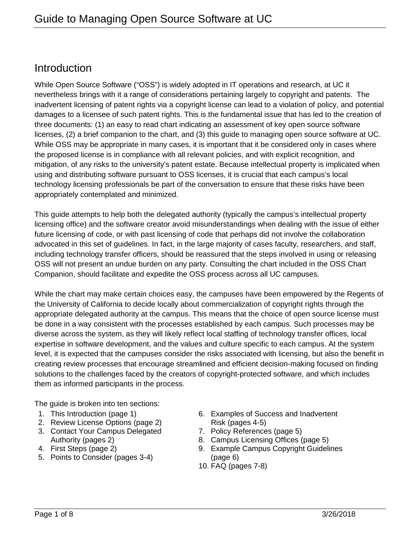## **Introduction**

While Open Source Software ("OSS") is widely adopted in IT operations and research, at UC it nevertheless brings with it a range of considerations pertaining largely to copyright and patents. The inadvertent licensing of patent rights via a copyright license can lead to a violation of policy, and potential damages to a licensee of such patent rights. This is the fundamental issue that has led to the creation of three documents: (1) an easy to read chart indicating an assessment of key open source software licenses, (2) a brief companion to the chart, and (3) this guide to managing open source software at UC. While OSS may be appropriate in many cases, it is important that it be considered only in cases where the proposed license is in compliance with all relevant policies, and with explicit recognition, and mitigation, of any risks to the university's patent estate. Because intellectual property is implicated when using and distributing software pursuant to OSS licenses, it is crucial that each campus's local technology licensing professionals be part of the conversation to ensure that these risks have been appropriately contemplated and minimized.

This guide attempts to help both the delegated authority (typically the campus's intellectual property licensing office) and the software creator avoid misunderstandings when dealing with the issue of either future licensing of code, or with past licensing of code that perhaps did not involve the collaboration advocated in this set of guidelines. In fact, in the large majority of cases faculty, researchers, and staff, including technology transfer officers, should be reassured that the steps involved in using or releasing OSS will not present an undue burden on any party. Consulting the chart included in the OSS Chart Companion, should facilitate and expedite the OSS process across all UC campuses.

While the chart may make certain choices easy, the campuses have been empowered by the Regents of the University of California to decide locally about commercialization of copyright rights through the appropriate delegated authority at the campus. This means that the choice of open source license must be done in a way consistent with the processes established by each campus. Such processes may be diverse across the system, as they will likely reflect local staffing of technology transfer offices, local expertise in software development, and the values and culture specific to each campus. At the system level, it is expected that the campuses consider the risks associated with licensing, but also the benefit in creating review processes that encourage streamlined and efficient decision-making focused on finding solutions to the challenges faced by the creators of copyright-protected software, and which includes them as informed participants in the process.

The guide is broken into ten sections:

- 1. This Introduction (page 1)
- 2. Review License Options (page 2)
- 3. Contact Your Campus Delegated Authority (pages 2)
- 4. First Steps (page 2)
- 5. Points to Consider (pages 3-4)
- 6. Examples of Success and Inadvertent Risk (pages 4-5)
- 7. Policy References (page 5)
- 8. Campus Licensing Offices (page 5)
- 9. Example Campus Copyright Guidelines (page 6)
- 10. FAQ (pages 7-8)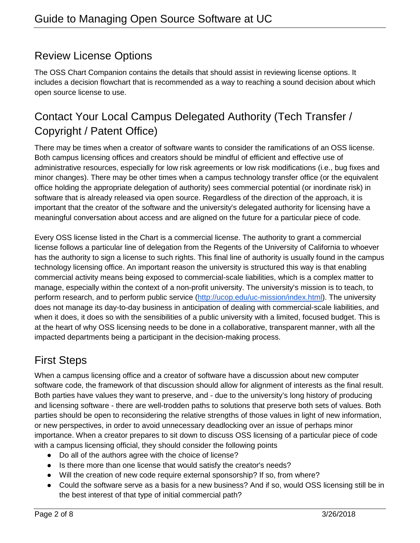# Review License Options

The OSS Chart Companion contains the details that should assist in reviewing license options. It includes a decision flowchart that is recommended as a way to reaching a sound decision about which open source license to use.

# Contact Your Local Campus Delegated Authority (Tech Transfer / Copyright / Patent Office)

There may be times when a creator of software wants to consider the ramifications of an OSS license. Both campus licensing offices and creators should be mindful of efficient and effective use of administrative resources, especially for low risk agreements or low risk modifications (i.e., bug fixes and minor changes). There may be other times when a campus technology transfer office (or the equivalent office holding the appropriate delegation of authority) sees commercial potential (or inordinate risk) in software that is already released via open source. Regardless of the direction of the approach, it is important that the creator of the software and the university's delegated authority for licensing have a meaningful conversation about access and are aligned on the future for a particular piece of code.

Every OSS license listed in the Chart is a commercial license. The authority to grant a commercial license follows a particular line of delegation from the Regents of the University of California to whoever has the authority to sign a license to such rights. This final line of authority is usually found in the campus technology licensing office. An important reason the university is structured this way is that enabling commercial activity means being exposed to commercial-scale liabilities, which is a complex matter to manage, especially within the context of a non-profit university. The university's mission is to teach, to perform research, and to perform public service [\(http://ucop.edu/uc-mission/index.html\)](http://ucop.edu/uc-mission/index.html). The university does not manage its day-to-day business in anticipation of dealing with commercial-scale liabilities, and when it does, it does so with the sensibilities of a public university with a limited, focused budget. This is at the heart of why OSS licensing needs to be done in a collaborative, transparent manner, with all the impacted departments being a participant in the decision-making process.

# First Steps

When a campus licensing office and a creator of software have a discussion about new computer software code, the framework of that discussion should allow for alignment of interests as the final result. Both parties have values they want to preserve, and - due to the university's long history of producing and licensing software - there are well-trodden paths to solutions that preserve both sets of values. Both parties should be open to reconsidering the relative strengths of those values in light of new information, or new perspectives, in order to avoid unnecessary deadlocking over an issue of perhaps minor importance. When a creator prepares to sit down to discuss OSS licensing of a particular piece of code with a campus licensing official, they should consider the following points

- Do all of the authors agree with the choice of license?
- Is there more than one license that would satisfy the creator's needs?
- Will the creation of new code require external sponsorship? If so, from where?
- Could the software serve as a basis for a new business? And if so, would OSS licensing still be in the best interest of that type of initial commercial path?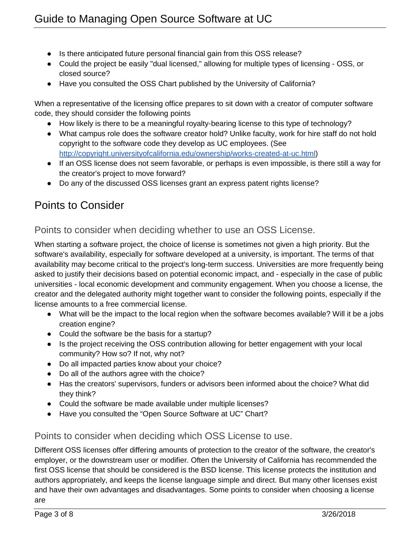- Is there anticipated future personal financial gain from this OSS release?
- Could the project be easily "dual licensed," allowing for multiple types of licensing OSS, or closed source?
- Have you consulted the OSS Chart published by the University of California?

When a representative of the licensing office prepares to sit down with a creator of computer software code, they should consider the following points

- How likely is there to be a meaningful royalty-bearing license to this type of technology?
- What campus role does the software creator hold? Unlike faculty, work for hire staff do not hold copyright to the software code they develop as UC employees. (See [http://copyright.universityofcalifornia.edu/ownership/works-created-at-uc.html\)](http://copyright.universityofcalifornia.edu/ownership/works-created-at-uc.html)
- If an OSS license does not seem favorable, or perhaps is even impossible, is there still a way for the creator's project to move forward?
- Do any of the discussed OSS licenses grant an express patent rights license?

## Points to Consider

### Points to consider when deciding whether to use an OSS License.

When starting a software project, the choice of license is sometimes not given a high priority. But the software's availability, especially for software developed at a university, is important. The terms of that availability may become critical to the project's long-term success. Universities are more frequently being asked to justify their decisions based on potential economic impact, and - especially in the case of public universities - local economic development and community engagement. When you choose a license, the creator and the delegated authority might together want to consider the following points, especially if the license amounts to a free commercial license.

- What will be the impact to the local region when the software becomes available? Will it be a jobs creation engine?
- Could the software be the basis for a startup?
- Is the project receiving the OSS contribution allowing for better engagement with your local community? How so? If not, why not?
- Do all impacted parties know about your choice?
- Do all of the authors agree with the choice?
- Has the creators' supervisors, funders or advisors been informed about the choice? What did they think?
- Could the software be made available under multiple licenses?
- Have you consulted the "Open Source Software at UC" Chart?

### Points to consider when deciding which OSS License to use.

Different OSS licenses offer differing amounts of protection to the creator of the software, the creator's employer, or the downstream user or modifier. Often the University of California has recommended the first OSS license that should be considered is the BSD license. This license protects the institution and authors appropriately, and keeps the license language simple and direct. But many other licenses exist and have their own advantages and disadvantages. Some points to consider when choosing a license are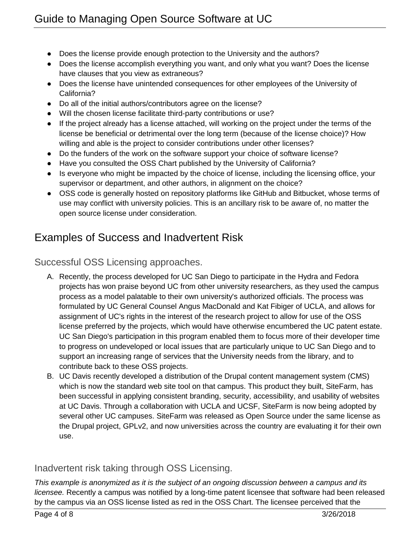- Does the license provide enough protection to the University and the authors?
- Does the license accomplish everything you want, and only what you want? Does the license have clauses that you view as extraneous?
- Does the license have unintended consequences for other employees of the University of California?
- Do all of the initial authors/contributors agree on the license?
- Will the chosen license facilitate third-party contributions or use?
- If the project already has a license attached, will working on the project under the terms of the license be beneficial or detrimental over the long term (because of the license choice)? How willing and able is the project to consider contributions under other licenses?
- Do the funders of the work on the software support your choice of software license?
- Have you consulted the OSS Chart published by the University of California?
- Is everyone who might be impacted by the choice of license, including the licensing office, your supervisor or department, and other authors, in alignment on the choice?
- OSS code is generally hosted on repository platforms like GitHub and Bitbucket, whose terms of use may conflict with university policies. This is an ancillary risk to be aware of, no matter the open source license under consideration.

# Examples of Success and Inadvertent Risk

Successful OSS Licensing approaches.

- A. Recently, the process developed for UC San Diego to participate in the Hydra and Fedora projects has won praise beyond UC from other university researchers, as they used the campus process as a model palatable to their own university's authorized officials. The process was formulated by UC General Counsel Angus MacDonald and Kat Fibiger of UCLA, and allows for assignment of UC's rights in the interest of the research project to allow for use of the OSS license preferred by the projects, which would have otherwise encumbered the UC patent estate. UC San Diego's participation in this program enabled them to focus more of their developer time to progress on undeveloped or local issues that are particularly unique to UC San Diego and to support an increasing range of services that the University needs from the library, and to contribute back to these OSS projects.
- B. UC Davis recently developed a distribution of the Drupal content management system (CMS) which is now the standard web site tool on that campus. This product they built, SiteFarm, has been successful in applying consistent branding, security, accessibility, and usability of websites at UC Davis. Through a collaboration with UCLA and UCSF, SiteFarm is now being adopted by several other UC campuses. SiteFarm was released as Open Source under the same license as the Drupal project, GPLv2, and now universities across the country are evaluating it for their own use.

## Inadvertent risk taking through OSS Licensing.

*This example is anonymized as it is the subject of an ongoing discussion between a campus and its licensee.* Recently a campus was notified by a long-time patent licensee that software had been released by the campus via an OSS license listed as red in the OSS Chart. The licensee perceived that the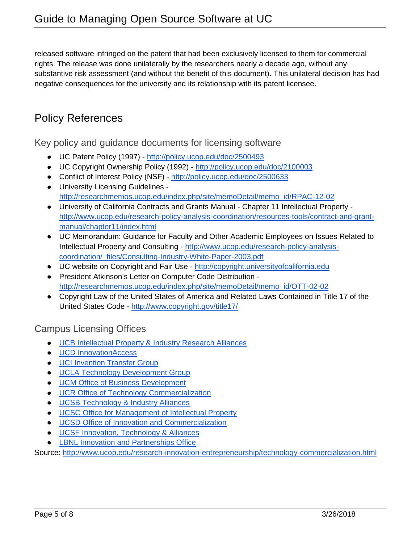released software infringed on the patent that had been exclusively licensed to them for commercial rights. The release was done unilaterally by the researchers nearly a decade ago, without any substantive risk assessment (and without the benefit of this document). This unilateral decision has had negative consequences for the university and its relationship with its patent licensee.

## Policy References

Key policy and guidance documents for licensing software

- UC Patent Policy (1997) <http://policy.ucop.edu/doc/2500493>
- UC Copyright Ownership Policy (1992) <http://policy.ucop.edu/doc/2100003>
- Conflict of Interest Policy (NSF) <http://policy.ucop.edu/doc/2500633>
- University Licensing Guidelines [http://researchmemos.ucop.edu/index.php/site/memoDetail/memo\\_id/RPAC-12-02](http://researchmemos.ucop.edu/index.php/site/memoDetail/memo_id/RPAC-12-02)
- University of California Contracts and Grants Manual Chapter 11 Intellectual Property [http://www.ucop.edu/research-policy-analysis-coordination/resources-tools/contract-and-grant](http://www.ucop.edu/research-policy-analysis-coordination/resources-tools/contract-and-grant-manual/chapter11/index.html)[manual/chapter11/index.html](http://www.ucop.edu/research-policy-analysis-coordination/resources-tools/contract-and-grant-manual/chapter11/index.html)
- UC Memorandum: Guidance for Faculty and Other Academic Employees on Issues Related to Intellectual Property and Consulting - [http://www.ucop.edu/research-policy-analysis](http://www.ucop.edu/research-policy-analysis-coordination/_files/Consulting-Industry-White-Paper-2003.pdf)[coordination/\\_files/Consulting-Industry-White-Paper-2003.pdf](http://www.ucop.edu/research-policy-analysis-coordination/_files/Consulting-Industry-White-Paper-2003.pdf)
- UC website on Copyright and Fair Use [http://copyright.universityofcalifornia.edu](http://copyright.universityofcalifornia.edu/)
- President Atkinson's Letter on Computer Code Distribution [http://researchmemos.ucop.edu/index.php/site/memoDetail/memo\\_id/OTT-02-02](http://researchmemos.ucop.edu/index.php/site/memoDetail/memo_id/OTT-02-02)
- Copyright Law of the United States of America and Related Laws Contained in Title 17 of the United States Code - <http://www.copyright.gov/title17/>

### Campus Licensing Offices

- [UCB Intellectual Property & Industry Research Alliances](http://ipira.berkeley.edu/)
- [UCD InnovationAccess](http://research.ucdavis.edu/industry/ia/)
- [UCI Invention Transfer Group](http://www.ota.uci.edu/)
- [UCLA Technology Development Group](http://tdg.ucla.edu/)
- [UCM Office of Business Development](http://bd.ucmerced.edu/)
- [UCR Office of Technology Commercialization](http://www.ucr.edu/research/otc.html)
- [UCSB Technology & Industry Alliances](https://tia.ucsb.edu/)
- [UCSC Office for Management of Intellectual Property](http://officeofresearch.ucsc.edu/omip/)
- [UCSD Office of Innovation and Commercialization](http://innovation.ucsd.edu/)
- [UCSF Innovation, Technology & Alliances](https://ita.ucsf.edu/)
- [LBNL Innovation and Partnerships Office](http://ipo.lbl.gov/)

Source:<http://www.ucop.edu/research-innovation-entrepreneurship/technology-commercialization.html>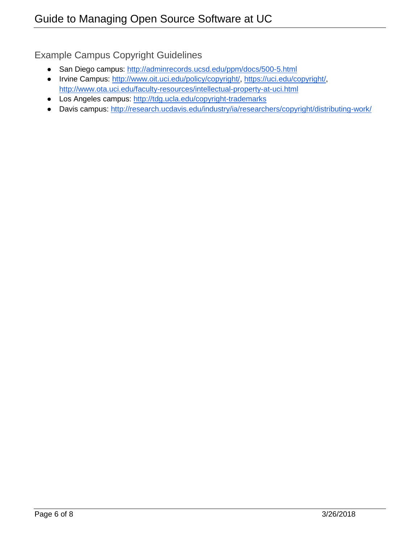Example Campus Copyright Guidelines

- San Diego campus:<http://adminrecords.ucsd.edu/ppm/docs/500-5.html>
- Irvine Campus: [http://www.oit.uci.edu/policy/copyright/,](http://www.oit.uci.edu/policy/copyright/) [https://uci.edu/copyright/,](https://uci.edu/copyright/) <http://www.ota.uci.edu/faculty-resources/intellectual-property-at-uci.html>
- Los Angeles campus:<http://tdg.ucla.edu/copyright-trademarks>
- Davis campus:<http://research.ucdavis.edu/industry/ia/researchers/copyright/distributing-work/>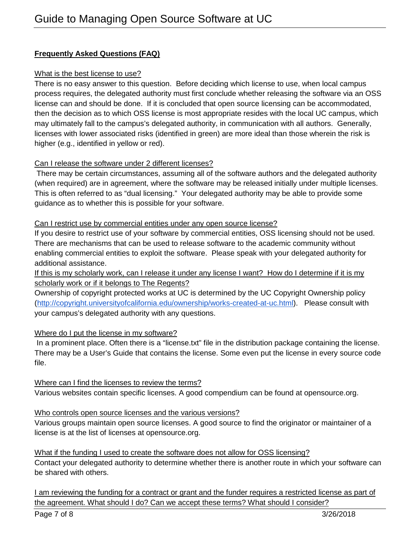### **Frequently Asked Questions (FAQ)**

#### What is the best license to use?

There is no easy answer to this question. Before deciding which license to use, when local campus process requires, the delegated authority must first conclude whether releasing the software via an OSS license can and should be done. If it is concluded that open source licensing can be accommodated, then the decision as to which OSS license is most appropriate resides with the local UC campus, which may ultimately fall to the campus's delegated authority, in communication with all authors. Generally, licenses with lower associated risks (identified in green) are more ideal than those wherein the risk is higher (e.g., identified in yellow or red).

#### Can I release the software under 2 different licenses?

There may be certain circumstances, assuming all of the software authors and the delegated authority (when required) are in agreement, where the software may be released initially under multiple licenses. This is often referred to as "dual licensing." Your delegated authority may be able to provide some guidance as to whether this is possible for your software.

#### Can I restrict use by commercial entities under any open source license?

If you desire to restrict use of your software by commercial entities, OSS licensing should not be used. There are mechanisms that can be used to release software to the academic community without enabling commercial entities to exploit the software. Please speak with your delegated authority for additional assistance.

If this is my scholarly work, can I release it under any license I want? How do I determine if it is my scholarly work or if it belongs to The Regents?

Ownership of copyright protected works at UC is determined by the UC Copyright Ownership policy [\(http://copyright.universityofcalifornia.edu/ownership/works-created-at-uc.html\)](http://copyright.universityofcalifornia.edu/ownership/works-created-at-uc.html). Please consult with your campus's delegated authority with any questions.

### Where do I put the license in my software?

In a prominent place. Often there is a "license.txt" file in the distribution package containing the license. There may be a User's Guide that contains the license. Some even put the license in every source code file.

Where can I find the licenses to review the terms? Various websites contain specific licenses. A good compendium can be found at opensource.org.

Who controls open source licenses and the various versions?

Various groups maintain open source licenses. A good source to find the originator or maintainer of a license is at the list of licenses at opensource.org.

What if the funding I used to create the software does not allow for OSS licensing?

Contact your delegated authority to determine whether there is another route in which your software can be shared with others.

I am reviewing the funding for a contract or grant and the funder requires a restricted license as part of the agreement. What should I do? Can we accept these terms? What should I consider?